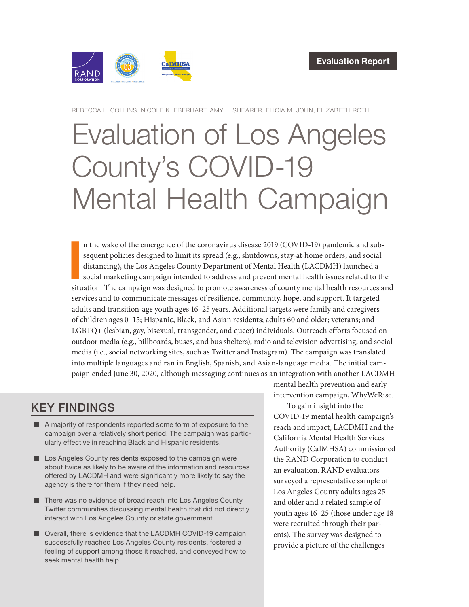

REBECCA L. COLLINS, NICOLE K. EBERHART, AMY L. SHEARER, ELICIA M. JOHN, ELIZABETH ROTH

# [Evaluation of Los Angeles](https://www.rand.org/pubs/research_reports/RRA875-1.html)  County's COVID-19 Mental Health Campaign

n the wake of the emergence of the coronavirus disease 2019 (COVID-19) pandemic and sub-<br>sequent policies designed to limit its spread (e.g., shutdowns, stay-at-home orders, and social<br>distancing), the Los Angeles County D n the wake of the emergence of the coronavirus disease 2019 (COVID-19) pandemic and subsequent policies designed to limit its spread (e.g., shutdowns, stay-at-home orders, and social distancing), the Los Angeles County Department of Mental Health (LACDMH) launched a social marketing campaign intended to address and prevent mental health issues related to the services and to communicate messages of resilience, community, hope, and support. It targeted adults and transition-age youth ages 16–25 years. Additional targets were family and caregivers of children ages 0–15; Hispanic, Black, and Asian residents; adults 60 and older; veterans; and LGBTQ+ (lesbian, gay, bisexual, transgender, and queer) individuals. Outreach efforts focused on outdoor media (e.g., billboards, buses, and bus shelters), radio and television advertising, and social media (i.e., social networking sites, such as Twitter and Instagram). The campaign was translated into multiple languages and ran in English, Spanish, and Asian-language media. The initial campaign ended June 30, 2020, although messaging continues as an integration with another LACDMH

# KEY FINDINGS

- A majority of respondents reported some form of exposure to the campaign over a relatively short period. The campaign was particularly effective in reaching Black and Hispanic residents.
- Los Angeles County residents exposed to the campaign were about twice as likely to be aware of the information and resources offered by LACDMH and were significantly more likely to say the agency is there for them if they need help.
- There was no evidence of broad reach into Los Angeles County Twitter communities discussing mental health that did not directly interact with Los Angeles County or state government.
- Overall, there is evidence that the LACDMH COVID-19 campaign successfully reached Los Angeles County residents, fostered a feeling of support among those it reached, and conveyed how to seek mental health help.

mental health prevention and early intervention campaign, WhyWeRise.

To gain insight into the COVID-19 mental health campaign's reach and impact, LACDMH and the California Mental Health Services Authority (CalMHSA) commissioned the RAND Corporation to conduct an evaluation. RAND evaluators surveyed a representative sample of Los Angeles County adults ages 25 and older and a related sample of youth ages 16–25 (those under age 18 were recruited through their parents). The survey was designed to provide a picture of the challenges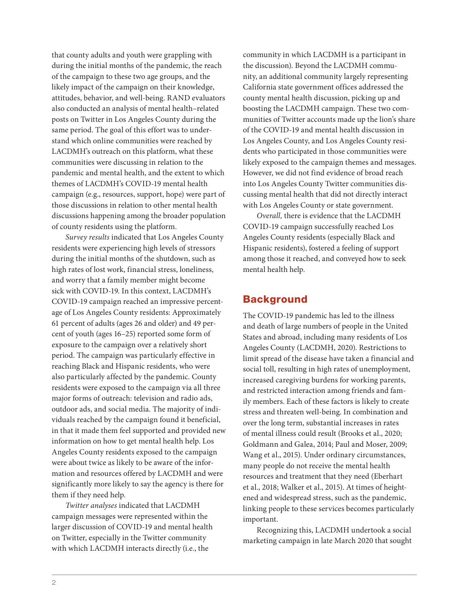that county adults and youth were grappling with during the initial months of the pandemic, the reach of the campaign to these two age groups, and the likely impact of the campaign on their knowledge, attitudes, behavior, and well-being. RAND evaluators also conducted an analysis of mental health–related posts on Twitter in Los Angeles County during the same period. The goal of this effort was to understand which online communities were reached by LACDMH's outreach on this platform, what these communities were discussing in relation to the pandemic and mental health, and the extent to which themes of LACDMH's COVID-19 mental health campaign (e.g., resources, support, hope) were part of those discussions in relation to other mental health discussions happening among the broader population of county residents using the platform.

*Survey results* indicated that Los Angeles County residents were experiencing high levels of stressors during the initial months of the shutdown, such as high rates of lost work, financial stress, loneliness, and worry that a family member might become sick with COVID-19. In this context, LACDMH's COVID-19 campaign reached an impressive percentage of Los Angeles County residents: Approximately 61 percent of adults (ages 26 and older) and 49 percent of youth (ages 16–25) reported some form of exposure to the campaign over a relatively short period. The campaign was particularly effective in reaching Black and Hispanic residents, who were also particularly affected by the pandemic. County residents were exposed to the campaign via all three major forms of outreach: television and radio ads, outdoor ads, and social media. The majority of individuals reached by the campaign found it beneficial, in that it made them feel supported and provided new information on how to get mental health help. Los Angeles County residents exposed to the campaign were about twice as likely to be aware of the information and resources offered by LACDMH and were significantly more likely to say the agency is there for them if they need help.

*Twitter analyses* indicated that LACDMH campaign messages were represented within the larger discussion of COVID-19 and mental health on Twitter, especially in the Twitter community with which LACDMH interacts directly (i.e., the

community in which LACDMH is a participant in the discussion). Beyond the LACDMH community, an additional community largely representing California state government offices addressed the county mental health discussion, picking up and boosting the LACDMH campaign. These two communities of Twitter accounts made up the lion's share of the COVID-19 and mental health discussion in Los Angeles County, and Los Angeles County residents who participated in those communities were likely exposed to the campaign themes and messages. However, we did not find evidence of broad reach into Los Angeles County Twitter communities discussing mental health that did not directly interact with Los Angeles County or state government.

*Overall,* there is evidence that the LACDMH COVID-19 campaign successfully reached Los Angeles County residents (especially Black and Hispanic residents), fostered a feeling of support among those it reached, and conveyed how to seek mental health help.

# **Background**

The COVID-19 pandemic has led to the illness and death of large numbers of people in the United States and abroad, including many residents of Los Angeles County (LACDMH, 2020). Restrictions to limit spread of the disease have taken a financial and social toll, resulting in high rates of unemployment, increased caregiving burdens for working parents, and restricted interaction among friends and family members. Each of these factors is likely to create stress and threaten well-being. In combination and over the long term, substantial increases in rates of mental illness could result (Brooks et al., 2020; Goldmann and Galea, 2014; Paul and Moser, 2009; Wang et al., 2015). Under ordinary circumstances, many people do not receive the mental health resources and treatment that they need (Eberhart et al., 2018; Walker et al., 2015). At times of heightened and widespread stress, such as the pandemic, linking people to these services becomes particularly important.

Recognizing this, LACDMH undertook a social marketing campaign in late March 2020 that sought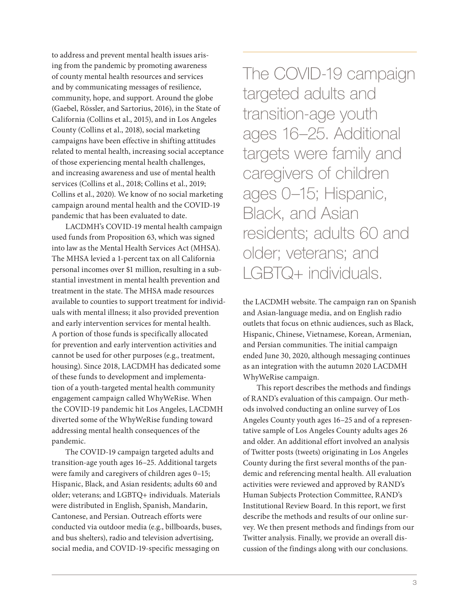to address and prevent mental health issues arising from the pandemic by promoting awareness of county mental health resources and services and by communicating messages of resilience, community, hope, and support. Around the globe (Gaebel, Rössler, and Sartorius, 2016), in the State of California (Collins et al., 2015), and in Los Angeles County (Collins et al., 2018), social marketing campaigns have been effective in shifting attitudes related to mental health, increasing social acceptance of those experiencing mental health challenges, and increasing awareness and use of mental health services (Collins et al., 2018; Collins et al., 2019; Collins et al., 2020). We know of no social marketing campaign around mental health and the COVID-19 pandemic that has been evaluated to date.

LACDMH's COVID-19 mental health campaign used funds from Proposition 63, which was signed into law as the Mental Health Services Act (MHSA). The MHSA levied a 1-percent tax on all California personal incomes over \$1 million, resulting in a substantial investment in mental health prevention and treatment in the state. The MHSA made resources available to counties to support treatment for individuals with mental illness; it also provided prevention and early intervention services for mental health. A portion of those funds is specifically allocated for prevention and early intervention activities and cannot be used for other purposes (e.g., treatment, housing). Since 2018, LACDMH has dedicated some of these funds to development and implementation of a youth-targeted mental health community engagement campaign called WhyWeRise. When the COVID-19 pandemic hit Los Angeles, LACDMH diverted some of the WhyWeRise funding toward addressing mental health consequences of the pandemic.

The COVID-19 campaign targeted adults and transition-age youth ages 16–25. Additional targets were family and caregivers of children ages 0–15; Hispanic, Black, and Asian residents; adults 60 and older; veterans; and LGBTQ+ individuals. Materials were distributed in English, Spanish, Mandarin, Cantonese, and Persian. Outreach efforts were conducted via outdoor media (e.g., billboards, buses, and bus shelters), radio and television advertising, social media, and COVID-19-specific messaging on

The COVID-19 campaign targeted adults and transition-age youth ages 16–25. Additional targets were family and caregivers of children ages 0–15; Hispanic, Black, and Asian residents; adults 60 and older; veterans; and LGBTQ+ individuals.

the LACDMH website. The campaign ran on Spanish and Asian-language media, and on English radio outlets that focus on ethnic audiences, such as Black, Hispanic, Chinese, Vietnamese, Korean, Armenian, and Persian communities. The initial campaign ended June 30, 2020, although messaging continues as an integration with the autumn 2020 LACDMH WhyWeRise campaign.

This report describes the methods and findings of RAND's evaluation of this campaign. Our methods involved conducting an online survey of Los Angeles County youth ages 16–25 and of a representative sample of Los Angeles County adults ages 26 and older. An additional effort involved an analysis of Twitter posts (tweets) originating in Los Angeles County during the first several months of the pandemic and referencing mental health. All evaluation activities were reviewed and approved by RAND's Human Subjects Protection Committee, RAND's Institutional Review Board. In this report, we first describe the methods and results of our online survey. We then present methods and findings from our Twitter analysis. Finally, we provide an overall discussion of the findings along with our conclusions.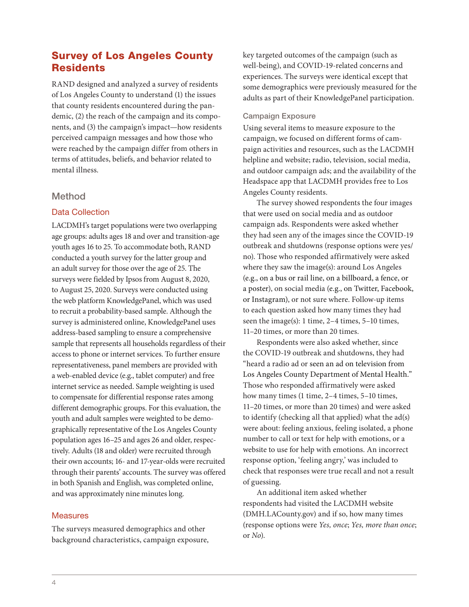# Survey of Los Angeles County **Residents**

RAND designed and analyzed a survey of residents of Los Angeles County to understand (1) the issues that county residents encountered during the pandemic, (2) the reach of the campaign and its components, and (3) the campaign's impact—how residents perceived campaign messages and how those who were reached by the campaign differ from others in terms of attitudes, beliefs, and behavior related to mental illness.

# Method

# Data Collection

LACDMH's target populations were two overlapping age groups: adults ages 18 and over and transition-age youth ages 16 to 25. To accommodate both, RAND conducted a youth survey for the latter group and an adult survey for those over the age of 25. The surveys were fielded by Ipsos from August 8, 2020, to August 25, 2020. Surveys were conducted using the web platform KnowledgePanel, which was used to recruit a probability-based sample. Although the survey is administered online, KnowledgePanel uses address-based sampling to ensure a comprehensive sample that represents all households regardless of their access to phone or internet services. To further ensure representativeness, panel members are provided with a web-enabled device (e.g., tablet computer) and free internet service as needed. Sample weighting is used to compensate for differential response rates among different demographic groups. For this evaluation, the youth and adult samples were weighted to be demographically representative of the Los Angeles County population ages 16–25 and ages 26 and older, respectively. Adults (18 and older) were recruited through their own accounts; 16- and 17-year-olds were recruited through their parents' accounts. The survey was offered in both Spanish and English, was completed online, and was approximately nine minutes long.

#### Measures

The surveys measured demographics and other background characteristics, campaign exposure,

key targeted outcomes of the campaign (such as well-being), and COVID-19-related concerns and experiences. The surveys were identical except that some demographics were previously measured for the adults as part of their KnowledgePanel participation.

#### Campaign Exposure

Using several items to measure exposure to the campaign, we focused on different forms of campaign activities and resources, such as the LACDMH helpline and website; radio, television, social media, and outdoor campaign ads; and the availability of the Headspace app that LACDMH provides free to Los Angeles County residents.

The survey showed respondents the four images that were used on social media and as outdoor campaign ads. Respondents were asked whether they had seen any of the images since the COVID-19 outbreak and shutdowns (response options were yes/ no). Those who responded affirmatively were asked where they saw the image(s): around Los Angeles (e.g., on a bus or rail line, on a billboard, a fence, or a poster), on social media (e.g., on Twitter, Facebook, or Instagram), or not sure where. Follow-up items to each question asked how many times they had seen the image(s): 1 time, 2–4 times, 5–10 times, 11–20 times, or more than 20 times.

Respondents were also asked whether, since the COVID-19 outbreak and shutdowns, they had "heard a radio ad or seen an ad on television from Los Angeles County Department of Mental Health." Those who responded affirmatively were asked how many times (1 time, 2-4 times, 5-10 times, 11–20 times, or more than 20 times) and were asked to identify (checking all that applied) what the ad(s) were about: feeling anxious, feeling isolated, a phone number to call or text for help with emotions, or a website to use for help with emotions. An incorrect response option, 'feeling angry,' was included to check that responses were true recall and not a result of guessing.

An additional item asked whether respondents had visited the LACDMH website (DMH.LACounty.gov) and if so, how many times (response options were *Yes, once*; *Yes, more than once*; or *No*).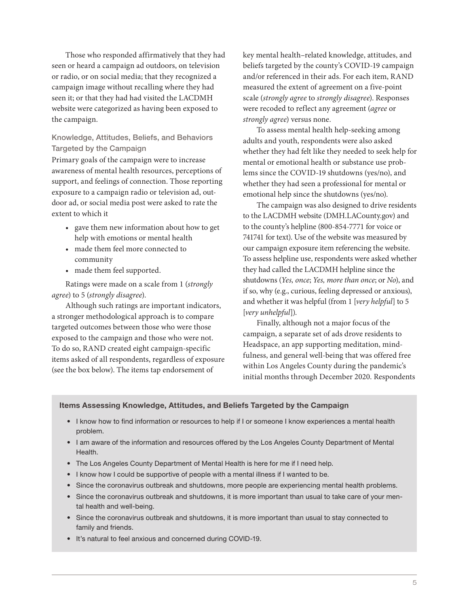Those who responded affirmatively that they had seen or heard a campaign ad outdoors, on television or radio, or on social media; that they recognized a campaign image without recalling where they had seen it; or that they had had visited the LACDMH website were categorized as having been exposed to the campaign.

# Knowledge, Attitudes, Beliefs, and Behaviors Targeted by the Campaign

Primary goals of the campaign were to increase awareness of mental health resources, perceptions of support, and feelings of connection. Those reporting exposure to a campaign radio or television ad, outdoor ad, or social media post were asked to rate the extent to which it

- gave them new information about how to get help with emotions or mental health
- made them feel more connected to community
- made them feel supported.

Ratings were made on a scale from 1 (*strongly agree*) to 5 (*strongly disagree*).

Although such ratings are important indicators, a stronger methodological approach is to compare targeted outcomes between those who were those exposed to the campaign and those who were not. To do so, RAND created eight campaign-specific items asked of all respondents, regardless of exposure (see the box below). The items tap endorsement of

key mental health–related knowledge, attitudes, and beliefs targeted by the county's COVID-19 campaign and/or referenced in their ads. For each item, RAND measured the extent of agreement on a five-point scale (*strongly agree* to *strongly disagree*). Responses were recoded to reflect any agreement (*agree* or *strongly agree*) versus none.

To assess mental health help-seeking among adults and youth, respondents were also asked whether they had felt like they needed to seek help for mental or emotional health or substance use problems since the COVID-19 shutdowns (yes/no), and whether they had seen a professional for mental or emotional help since the shutdowns (yes/no).

The campaign was also designed to drive residents to the LACDMH website (DMH.LACounty.gov) and to the county's helpline (800-854-7771 for voice or 741741 for text). Use of the website was measured by our campaign exposure item referencing the website. To assess helpline use, respondents were asked whether they had called the LACDMH helpline since the shutdowns (*Yes, once*; *Yes, more than once*; or *No*), and if so, why (e.g., curious, feeling depressed or anxious), and whether it was helpful (from 1 [*very helpful*] to 5 [*very unhelpful*]).

Finally, although not a major focus of the campaign, a separate set of ads drove residents to Headspace, an app supporting meditation, mindfulness, and general well-being that was offered free within Los Angeles County during the pandemic's initial months through December 2020. Respondents

#### Items Assessing Knowledge, Attitudes, and Beliefs Targeted by the Campaign

- I know how to find information or resources to help if I or someone I know experiences a mental health problem.
- I am aware of the information and resources offered by the Los Angeles County Department of Mental Health.
- The Los Angeles County Department of Mental Health is here for me if I need help.
- I know how I could be supportive of people with a mental illness if I wanted to be.
- Since the coronavirus outbreak and shutdowns, more people are experiencing mental health problems.
- Since the coronavirus outbreak and shutdowns, it is more important than usual to take care of your mental health and well-being.
- Since the coronavirus outbreak and shutdowns, it is more important than usual to stay connected to family and friends.
- It's natural to feel anxious and concerned during COVID-19.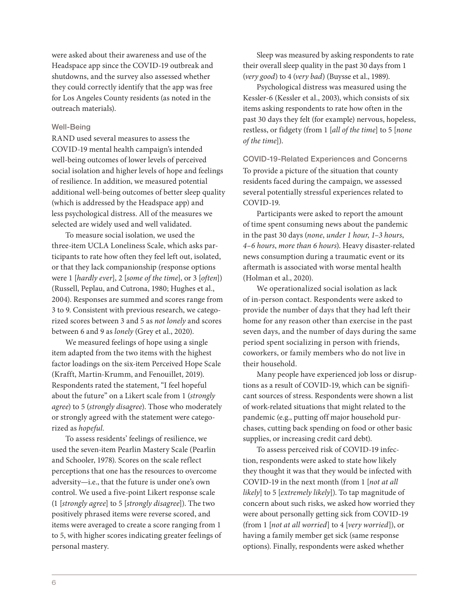were asked about their awareness and use of the Headspace app since the COVID-19 outbreak and shutdowns, and the survey also assessed whether they could correctly identify that the app was free for Los Angeles County residents (as noted in the outreach materials).

#### Well-Being

RAND used several measures to assess the COVID-19 mental health campaign's intended well-being outcomes of lower levels of perceived social isolation and higher levels of hope and feelings of resilience. In addition, we measured potential additional well-being outcomes of better sleep quality (which is addressed by the Headspace app) and less psychological distress. All of the measures we selected are widely used and well validated.

To measure social isolation, we used the three-item UCLA Loneliness Scale, which asks participants to rate how often they feel left out, isolated, or that they lack companionship (response options were 1 [*hardly ever*], 2 [*some of the time*], or 3 [*often*]) (Russell, Peplau, and Cutrona, 1980; Hughes et al., 2004). Responses are summed and scores range from 3 to 9. Consistent with previous research, we categorized scores between 3 and 5 as *not lonely* and scores between 6 and 9 as *lonely* (Grey et al., 2020).

We measured feelings of hope using a single item adapted from the two items with the highest factor loadings on the six-item Perceived Hope Scale (Krafft, Martin-Krumm, and Fenouillet, 2019). Respondents rated the statement, "I feel hopeful about the future" on a Likert scale from 1 (*strongly agree*) to 5 (*strongly disagree*). Those who moderately or strongly agreed with the statement were categorized as *hopeful*.

To assess residents' feelings of resilience, we used the seven-item Pearlin Mastery Scale (Pearlin and Schooler, 1978). Scores on the scale reflect perceptions that one has the resources to overcome adversity—i.e., that the future is under one's own control. We used a five-point Likert response scale (1 [*strongly agree*] to 5 [*strongly disagree*]). The two positively phrased items were reverse scored, and items were averaged to create a score ranging from 1 to 5, with higher scores indicating greater feelings of personal mastery.

Sleep was measured by asking respondents to rate their overall sleep quality in the past 30 days from 1 (*very good*) to 4 (*very bad*) (Buysse et al., 1989).

Psychological distress was measured using the Kessler-6 (Kessler et al., 2003), which consists of six items asking respondents to rate how often in the past 30 days they felt (for example) nervous, hopeless, restless, or fidgety (from 1 [*all of the time*] to 5 [*none of the time*]).

COVID-19-Related Experiences and Concerns To provide a picture of the situation that county residents faced during the campaign, we assessed several potentially stressful experiences related to COVID-19.

Participants were asked to report the amount of time spent consuming news about the pandemic in the past 30 days (*none*, *under 1 hour*, *1–3 hours*, *4–6 hours*, *more than 6 hours*). Heavy disaster-related news consumption during a traumatic event or its aftermath is associated with worse mental health (Holman et al., 2020).

We operationalized social isolation as lack of in-person contact. Respondents were asked to provide the number of days that they had left their home for any reason other than exercise in the past seven days, and the number of days during the same period spent socializing in person with friends, coworkers, or family members who do not live in their household.

Many people have experienced job loss or disruptions as a result of COVID-19, which can be significant sources of stress. Respondents were shown a list of work-related situations that might related to the pandemic (e.g., putting off major household purchases, cutting back spending on food or other basic supplies, or increasing credit card debt).

To assess perceived risk of COVID-19 infection, respondents were asked to state how likely they thought it was that they would be infected with COVID-19 in the next month (from 1 [*not at all likely*] to 5 [*extremely likely*]). To tap magnitude of concern about such risks, we asked how worried they were about personally getting sick from COVID-19 (from 1 [*not at all worried*] to 4 [*very worried*]), or having a family member get sick (same response options). Finally, respondents were asked whether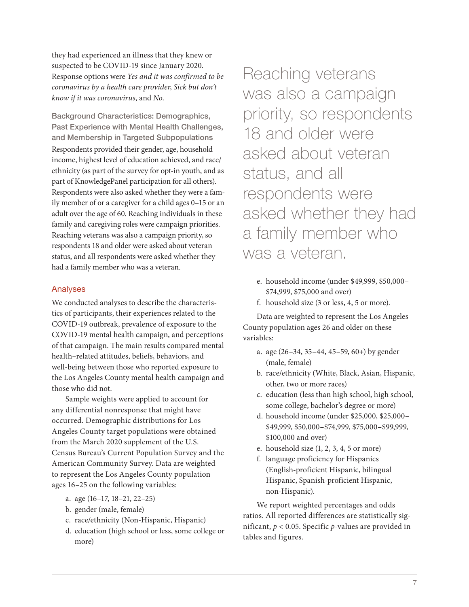they had experienced an illness that they knew or suspected to be COVID-19 since January 2020. Response options were *Yes and it was confirmed to be coronavirus by a health care provider*, *Sick but don't know if it was coronavirus*, and *No*.

Background Characteristics: Demographics, Past Experience with Mental Health Challenges, and Membership in Targeted Subpopulations Respondents provided their gender, age, household income, highest level of education achieved, and race/ ethnicity (as part of the survey for opt-in youth, and as part of KnowledgePanel participation for all others). Respondents were also asked whether they were a family member of or a caregiver for a child ages 0–15 or an adult over the age of 60. Reaching individuals in these family and caregiving roles were campaign priorities. Reaching veterans was also a campaign priority, so respondents 18 and older were asked about veteran status, and all respondents were asked whether they had a family member who was a veteran.

#### Analyses

We conducted analyses to describe the characteristics of participants, their experiences related to the COVID-19 outbreak, prevalence of exposure to the COVID-19 mental health campaign, and perceptions of that campaign. The main results compared mental health–related attitudes, beliefs, behaviors, and well-being between those who reported exposure to the Los Angeles County mental health campaign and those who did not.

Sample weights were applied to account for any differential nonresponse that might have occurred. Demographic distributions for Los Angeles County target populations were obtained from the March 2020 supplement of the U.S. Census Bureau's Current Population Survey and the American Community Survey. Data are weighted to represent the Los Angeles County population ages 16–25 on the following variables:

- a. age (16–17, 18–21, 22–25)
- b. gender (male, female)
- c. race/ethnicity (Non-Hispanic, Hispanic)
- d. education (high school or less, some college or more)

Reaching veterans was also a campaign priority, so respondents 18 and older were asked about veteran status, and all respondents were asked whether they had a family member who was a veteran.

- e. household income (under \$49,999, \$50,000– \$74,999, \$75,000 and over)
- f. household size (3 or less, 4, 5 or more).

Data are weighted to represent the Los Angeles County population ages 26 and older on these variables:

- a. age (26–34, 35–44, 45–59, 60+) by gender (male, female)
- b. race/ethnicity (White, Black, Asian, Hispanic, other, two or more races)
- c. education (less than high school, high school, some college, bachelor's degree or more)
- d. household income (under \$25,000, \$25,000– \$49,999, \$50,000–\$74,999, \$75,000–\$99,999, \$100,000 and over)
- e. household size (1, 2, 3, 4, 5 or more)
- f. language proficiency for Hispanics (English-proficient Hispanic, bilingual Hispanic, Spanish-proficient Hispanic, non-Hispanic).

We report weighted percentages and odds ratios. All reported differences are statistically significant, *p* < 0.05. Specific *p*-values are provided in tables and figures.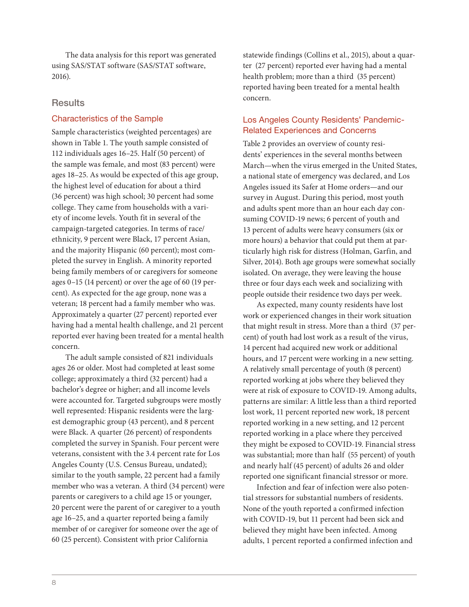The data analysis for this report was generated using SAS/STAT software (SAS/STAT software, 2016).

# **Results**

#### Characteristics of the Sample

Sample characteristics (weighted percentages) are shown in Table 1. The youth sample consisted of 112 individuals ages 16–25. Half (50 percent) of the sample was female, and most (83 percent) were ages 18–25. As would be expected of this age group, the highest level of education for about a third (36 percent) was high school; 30 percent had some college. They came from households with a variety of income levels. Youth fit in several of the campaign-targeted categories. In terms of race/ ethnicity, 9 percent were Black, 17 percent Asian, and the majority Hispanic (60 percent); most completed the survey in English. A minority reported being family members of or caregivers for someone ages 0–15 (14 percent) or over the age of 60 (19 percent). As expected for the age group, none was a veteran; 18 percent had a family member who was. Approximately a quarter (27 percent) reported ever having had a mental health challenge, and 21 percent reported ever having been treated for a mental health concern.

The adult sample consisted of 821 individuals ages 26 or older. Most had completed at least some college; approximately a third (32 percent) had a bachelor's degree or higher; and all income levels were accounted for. Targeted subgroups were mostly well represented: Hispanic residents were the largest demographic group (43 percent), and 8 percent were Black. A quarter (26 percent) of respondents completed the survey in Spanish. Four percent were veterans, consistent with the 3.4 percent rate for Los Angeles County (U.S. Census Bureau, undated); similar to the youth sample, 22 percent had a family member who was a veteran. A third (34 percent) were parents or caregivers to a child age 15 or younger, 20 percent were the parent of or caregiver to a youth age 16–25, and a quarter reported being a family member of or caregiver for someone over the age of 60 (25 percent). Consistent with prior California

statewide findings (Collins et al., 2015), about a quarter (27 percent) reported ever having had a mental health problem; more than a third (35 percent) reported having been treated for a mental health concern.

# Los Angeles County Residents' Pandemic-Related Experiences and Concerns

Table 2 provides an overview of county residents' experiences in the several months between March—when the virus emerged in the United States, a national state of emergency was declared, and Los Angeles issued its Safer at Home orders—and our survey in August. During this period, most youth and adults spent more than an hour each day consuming COVID-19 news; 6 percent of youth and 13 percent of adults were heavy consumers (six or more hours) a behavior that could put them at particularly high risk for distress (Holman, Garfin, and Silver, 2014). Both age groups were somewhat socially isolated. On average, they were leaving the house three or four days each week and socializing with people outside their residence two days per week.

As expected, many county residents have lost work or experienced changes in their work situation that might result in stress. More than a third (37 percent) of youth had lost work as a result of the virus, 14 percent had acquired new work or additional hours, and 17 percent were working in a new setting. A relatively small percentage of youth (8 percent) reported working at jobs where they believed they were at risk of exposure to COVID-19. Among adults, patterns are similar: A little less than a third reported lost work, 11 percent reported new work, 18 percent reported working in a new setting, and 12 percent reported working in a place where they perceived they might be exposed to COVID-19. Financial stress was substantial; more than half (55 percent) of youth and nearly half (45 percent) of adults 26 and older reported one significant financial stressor or more.

Infection and fear of infection were also potential stressors for substantial numbers of residents. None of the youth reported a confirmed infection with COVID-19, but 11 percent had been sick and believed they might have been infected. Among adults, 1 percent reported a confirmed infection and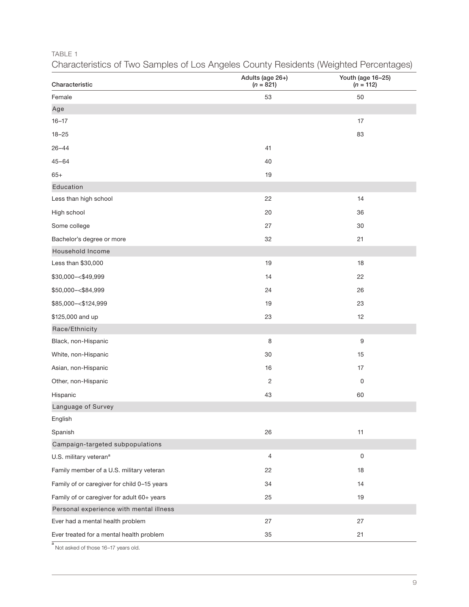TABLE 1

|  |  | Characteristics of Two Samples of Los Angeles County Residents (Weighted Percentages) |  |
|--|--|---------------------------------------------------------------------------------------|--|
|  |  |                                                                                       |  |

| Characteristic                              | Adults (age 26+)<br>$(n = 821)$ | Youth (age 16-25)<br>$(n = 112)$ |
|---------------------------------------------|---------------------------------|----------------------------------|
| Female                                      | 53                              | 50                               |
| Age                                         |                                 |                                  |
| $16 - 17$                                   |                                 | 17                               |
| $18 - 25$                                   |                                 | 83                               |
| $26 - 44$                                   | 41                              |                                  |
| $45 - 64$                                   | 40                              |                                  |
| $65+$                                       | 19                              |                                  |
| Education                                   |                                 |                                  |
| Less than high school                       | 22                              | 14                               |
| High school                                 | 20                              | 36                               |
| Some college                                | 27                              | 30                               |
| Bachelor's degree or more                   | 32                              | 21                               |
| Household Income                            |                                 |                                  |
| Less than \$30,000                          | 19                              | $18$                             |
| \$30,000 -< \$49,999                        | 14                              | 22                               |
| \$50,000 -< \$84,999                        | 24                              | 26                               |
| \$85,000 -< \$124,999                       | 19                              | 23                               |
| \$125,000 and up                            | 23                              | 12                               |
| Race/Ethnicity                              |                                 |                                  |
| Black, non-Hispanic                         | 8                               | 9                                |
| White, non-Hispanic                         | 30                              | 15                               |
| Asian, non-Hispanic                         | 16                              | 17                               |
| Other, non-Hispanic                         | $\overline{2}$                  | $\mathbf 0$                      |
| Hispanic                                    | 43                              | 60                               |
| Language of Survey                          |                                 |                                  |
| English                                     |                                 |                                  |
| Spanish                                     | 26                              | 11                               |
| Campaign-targeted subpopulations            |                                 |                                  |
| U.S. military veteran <sup>a</sup>          | $\overline{4}$                  | $\mathsf 0$                      |
| Family member of a U.S. military veteran    | 22                              | 18                               |
| Family of or caregiver for child 0-15 years | 34                              | 14                               |
| Family of or caregiver for adult 60+ years  | 25                              | 19                               |
| Personal experience with mental illness     |                                 |                                  |
| Ever had a mental health problem            | 27                              | 27                               |
| Ever treated for a mental health problem    | 35                              | 21                               |

a Not asked of those 16–17 years old.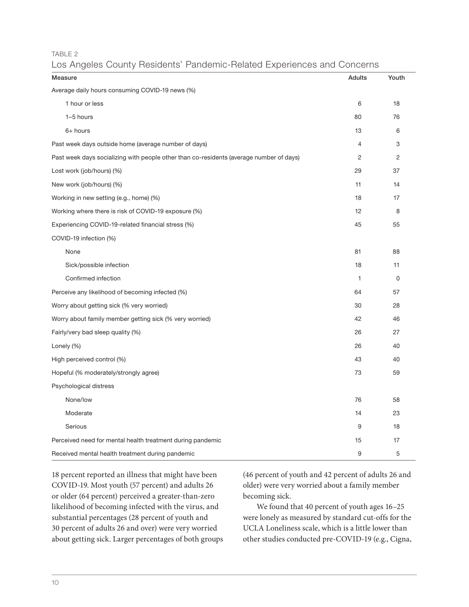TABLE 2

|  |  |  |  |  |  |  | Los Angeles County Residents' Pandemic-Related Experiences and Concerns |
|--|--|--|--|--|--|--|-------------------------------------------------------------------------|
|--|--|--|--|--|--|--|-------------------------------------------------------------------------|

| $\check{ }$<br>Measure                                                                  | Adults         | Youth          |
|-----------------------------------------------------------------------------------------|----------------|----------------|
| Average daily hours consuming COVID-19 news (%)                                         |                |                |
| 1 hour or less                                                                          | 6              | 18             |
| 1-5 hours                                                                               | 80             | 76             |
| $6+$ hours                                                                              | 13             | 6              |
| Past week days outside home (average number of days)                                    | $\overline{4}$ | 3              |
| Past week days socializing with people other than co-residents (average number of days) | $\overline{c}$ | $\overline{c}$ |
| Lost work (job/hours) (%)                                                               | 29             | 37             |
| New work (job/hours) (%)                                                                | 11             | 14             |
| Working in new setting (e.g., home) (%)                                                 | 18             | 17             |
| Working where there is risk of COVID-19 exposure (%)                                    | 12             | 8              |
| Experiencing COVID-19-related financial stress (%)                                      | 45             | 55             |
| COVID-19 infection (%)                                                                  |                |                |
| None                                                                                    | 81             | 88             |
| Sick/possible infection                                                                 | 18             | 11             |
| Confirmed infection                                                                     | 1              | 0              |
| Perceive any likelihood of becoming infected (%)                                        | 64             | 57             |
| Worry about getting sick (% very worried)                                               | 30             | 28             |
| Worry about family member getting sick (% very worried)                                 | 42             | 46             |
| Fairly/very bad sleep quality (%)                                                       | 26             | 27             |
| Lonely $(\%)$                                                                           | 26             | 40             |
| High perceived control (%)                                                              | 43             | 40             |
| Hopeful (% moderately/strongly agree)                                                   | 73             | 59             |
| Psychological distress                                                                  |                |                |
| None/low                                                                                | 76             | 58             |
| Moderate                                                                                | 14             | 23             |
| Serious                                                                                 | 9              | 18             |
| Perceived need for mental health treatment during pandemic                              | 15             | 17             |
| Received mental health treatment during pandemic                                        | 9              | 5              |

18 percent reported an illness that might have been COVID-19. Most youth (57 percent) and adults 26 or older (64 percent) perceived a greater-than-zero likelihood of becoming infected with the virus, and substantial percentages (28 percent of youth and 30 percent of adults 26 and over) were very worried about getting sick. Larger percentages of both groups

(46 percent of youth and 42 percent of adults 26 and older) were very worried about a family member becoming sick.

We found that 40 percent of youth ages 16–25 were lonely as measured by standard cut-offs for the UCLA Loneliness scale, which is a little lower than other studies conducted pre-COVID-19 (e.g., Cigna,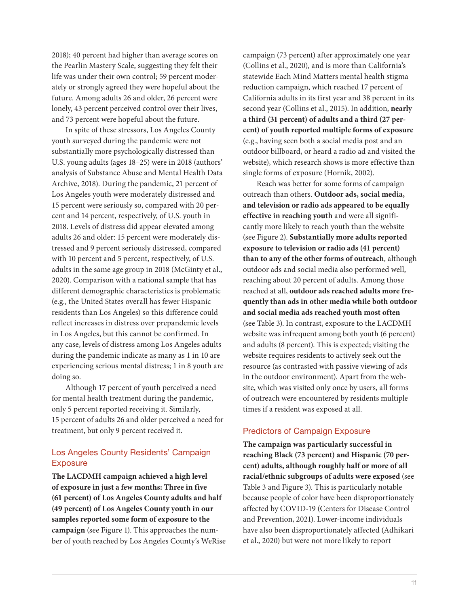2018); 40 percent had higher than average scores on the Pearlin Mastery Scale, suggesting they felt their life was under their own control; 59 percent moderately or strongly agreed they were hopeful about the future. Among adults 26 and older, 26 percent were lonely, 43 percent perceived control over their lives, and 73 percent were hopeful about the future.

In spite of these stressors, Los Angeles County youth surveyed during the pandemic were not substantially more psychologically distressed than U.S. young adults (ages 18–25) were in 2018 (authors' analysis of Substance Abuse and Mental Health Data Archive, 2018). During the pandemic, 21 percent of Los Angeles youth were moderately distressed and 15 percent were seriously so, compared with 20 percent and 14 percent, respectively, of U.S. youth in 2018. Levels of distress did appear elevated among adults 26 and older: 15 percent were moderately distressed and 9 percent seriously distressed, compared with 10 percent and 5 percent, respectively, of U.S. adults in the same age group in 2018 (McGinty et al., 2020). Comparison with a national sample that has different demographic characteristics is problematic (e.g., the United States overall has fewer Hispanic residents than Los Angeles) so this difference could reflect increases in distress over prepandemic levels in Los Angeles, but this cannot be confirmed. In any case, levels of distress among Los Angeles adults during the pandemic indicate as many as 1 in 10 are experiencing serious mental distress; 1 in 8 youth are doing so.

Although 17 percent of youth perceived a need for mental health treatment during the pandemic, only 5 percent reported receiving it. Similarly, 15 percent of adults 26 and older perceived a need for treatment, but only 9 percent received it.

# Los Angeles County Residents' Campaign **Exposure**

**The LACDMH campaign achieved a high level of exposure in just a few months: Three in five (61 percent) of Los Angeles County adults and half (49 percent) of Los Angeles County youth in our samples reported some form of exposure to the campaign** (see Figure 1). This approaches the number of youth reached by Los Angeles County's WeRise campaign (73 percent) after approximately one year (Collins et al., 2020), and is more than California's statewide Each Mind Matters mental health stigma reduction campaign, which reached 17 percent of California adults in its first year and 38 percent in its second year (Collins et al., 2015). In addition, **nearly a third (31 percent) of adults and a third (27 percent) of youth reported multiple forms of exposure** (e.g., having seen both a social media post and an outdoor billboard, or heard a radio ad and visited the website), which research shows is more effective than single forms of exposure (Hornik, 2002).

Reach was better for some forms of campaign outreach than others. **Outdoor ads, social media, and television or radio ads appeared to be equally effective in reaching youth** and were all significantly more likely to reach youth than the website (see Figure 2). **Substantially more adults reported exposure to television or radio ads (41 percent) than to any of the other forms of outreach**, although outdoor ads and social media also performed well, reaching about 20 percent of adults. Among those reached at all, **outdoor ads reached adults more frequently than ads in other media while both outdoor and social media ads reached youth most often** (see Table 3). In contrast, exposure to the LACDMH website was infrequent among both youth (6 percent) and adults (8 percent). This is expected; visiting the website requires residents to actively seek out the resource (as contrasted with passive viewing of ads in the outdoor environment). Apart from the website, which was visited only once by users, all forms of outreach were encountered by residents multiple times if a resident was exposed at all.

#### Predictors of Campaign Exposure

**The campaign was particularly successful in reaching Black (73 percent) and Hispanic (70 percent) adults, although roughly half or more of all racial/ethnic subgroups of adults were exposed** (see Table 3 and Figure 3). This is particularly notable because people of color have been disproportionately affected by COVID-19 (Centers for Disease Control and Prevention, 2021). Lower-income individuals have also been disproportionately affected (Adhikari et al., 2020) but were not more likely to report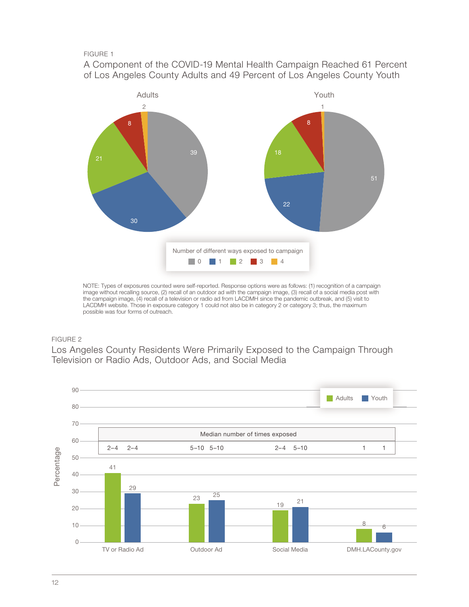#### FIGURE 1

A Component of the COVID-19 Mental Health Campaign Reached 61 Percent of Los Angeles County Adults and 49 Percent of Los Angeles County Youth



NOTE: Types of exposures counted were self-reported. Response options were as follows: (1) recognition of a campaign image without recalling source, (2) recall of an outdoor ad with the campaign image, (3) recall of a social media post with the campaign image, (4) recall of a television or radio ad from LACDMH since the pandemic outbreak, and (5) visit to LACDMH website. Those in exposure category 1 could not also be in category 2 or category 3; thus, the maximum possible was four forms of outreach.

#### FIGURE 2

Los Angeles County Residents Were Primarily Exposed to the Campaign Through Television or Radio Ads, Outdoor Ads, and Social Media

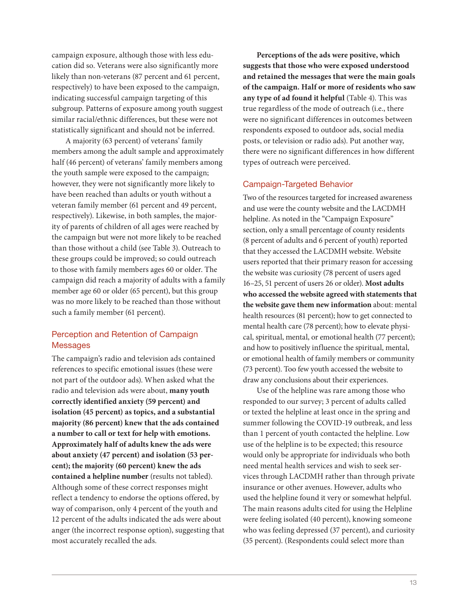campaign exposure, although those with less education did so. Veterans were also significantly more likely than non-veterans (87 percent and 61 percent, respectively) to have been exposed to the campaign, indicating successful campaign targeting of this subgroup. Patterns of exposure among youth suggest similar racial/ethnic differences, but these were not statistically significant and should not be inferred.

A majority (63 percent) of veterans' family members among the adult sample and approximately half (46 percent) of veterans' family members among the youth sample were exposed to the campaign; however, they were not significantly more likely to have been reached than adults or youth without a veteran family member (61 percent and 49 percent, respectively). Likewise, in both samples, the majority of parents of children of all ages were reached by the campaign but were not more likely to be reached than those without a child (see Table 3). Outreach to these groups could be improved; so could outreach to those with family members ages 60 or older. The campaign did reach a majority of adults with a family member age 60 or older (65 percent), but this group was no more likely to be reached than those without such a family member (61 percent).

# Perception and Retention of Campaign Messages

The campaign's radio and television ads contained references to specific emotional issues (these were not part of the outdoor ads). When asked what the radio and television ads were about, **many youth correctly identified anxiety (59 percent) and isolation (45 percent) as topics, and a substantial majority (86 percent) knew that the ads contained a number to call or text for help with emotions. Approximately half of adults knew the ads were about anxiety (47 percent) and isolation (53 percent); the majority (60 percent) knew the ads contained a helpline number** (results not tabled). Although some of these correct responses might reflect a tendency to endorse the options offered, by way of comparison, only 4 percent of the youth and 12 percent of the adults indicated the ads were about anger (the incorrect response option), suggesting that most accurately recalled the ads.

**Perceptions of the ads were positive, which suggests that those who were exposed understood and retained the messages that were the main goals of the campaign. Half or more of residents who saw any type of ad found it helpful** (Table 4). This was true regardless of the mode of outreach (i.e., there were no significant differences in outcomes between respondents exposed to outdoor ads, social media posts, or television or radio ads). Put another way, there were no significant differences in how different types of outreach were perceived.

#### Campaign-Targeted Behavior

Two of the resources targeted for increased awareness and use were the county website and the LACDMH helpline. As noted in the "Campaign Exposure" section, only a small percentage of county residents (8 percent of adults and 6 percent of youth) reported that they accessed the LACDMH website. Website users reported that their primary reason for accessing the website was curiosity (78 percent of users aged 16–25, 51 percent of users 26 or older). **Most adults who accessed the website agreed with statements that the website gave them new information** about: mental health resources (81 percent); how to get connected to mental health care (78 percent); how to elevate physical, spiritual, mental, or emotional health (77 percent); and how to positively influence the spiritual, mental, or emotional health of family members or community (73 percent). Too few youth accessed the website to draw any conclusions about their experiences.

Use of the helpline was rare among those who responded to our survey; 3 percent of adults called or texted the helpline at least once in the spring and summer following the COVID-19 outbreak, and less than 1 percent of youth contacted the helpline. Low use of the helpline is to be expected; this resource would only be appropriate for individuals who both need mental health services and wish to seek services through LACDMH rather than through private insurance or other avenues. However, adults who used the helpline found it very or somewhat helpful. The main reasons adults cited for using the Helpline were feeling isolated (40 percent), knowing someone who was feeling depressed (37 percent), and curiosity (35 percent). (Respondents could select more than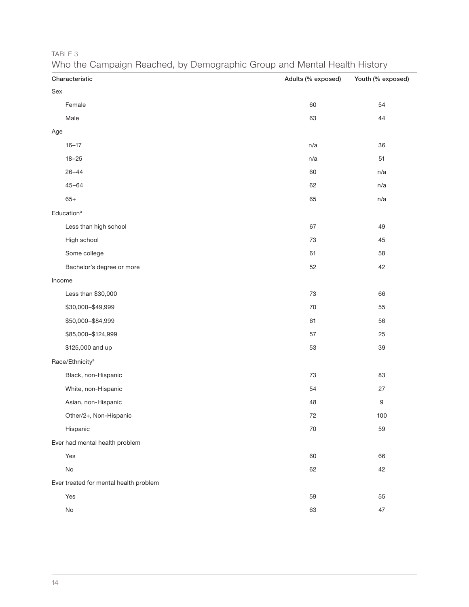TABLE 3

| Characteristic                         | Adults (% exposed) | Youth (% exposed) |
|----------------------------------------|--------------------|-------------------|
| Sex                                    |                    |                   |
| Female                                 | 60                 | 54                |
| Male                                   | 63                 | 44                |
| Age                                    |                    |                   |
| $16 - 17$                              | n/a                | 36                |
| $18 - 25$                              | n/a                | 51                |
| $26 - 44$                              | 60                 | n/a               |
| $45 - 64$                              | 62                 | n/a               |
| $65+$                                  | 65                 | n/a               |
| Education <sup>a</sup>                 |                    |                   |
| Less than high school                  | 67                 | 49                |
| High school                            | 73                 | 45                |
| Some college                           | 61                 | 58                |
| Bachelor's degree or more              | 52                 | 42                |
| Income                                 |                    |                   |
| Less than \$30,000                     | 73                 | 66                |
| \$30,000-\$49,999                      | $70\,$             | 55                |
| \$50,000-\$84,999                      | 61                 | 56                |
| \$85,000-\$124,999                     | 57                 | 25                |
| \$125,000 and up                       | 53                 | 39                |
| Race/Ethnicity <sup>a</sup>            |                    |                   |
| Black, non-Hispanic                    | $73\,$             | 83                |
| White, non-Hispanic                    | 54                 | 27                |
| Asian, non-Hispanic                    | 48                 | $\boldsymbol{9}$  |
| Other/2+, Non-Hispanic                 | 72                 | 100               |
| Hispanic                               | 70                 | 59                |
| Ever had mental health problem         |                    |                   |
| Yes                                    | 60                 | 66                |
| No                                     | 62                 | 42                |
| Ever treated for mental health problem |                    |                   |
| Yes                                    | 59                 | 55                |
| No                                     | 63                 | 47                |

# Who the Campaign Reached, by Demographic Group and Mental Health History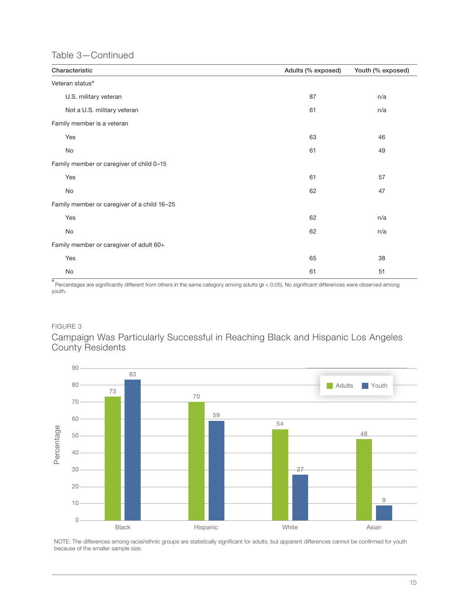# Table 3—Continued

| Characteristic                              | Adults (% exposed) | Youth (% exposed) |
|---------------------------------------------|--------------------|-------------------|
| Veteran status <sup>a</sup>                 |                    |                   |
| U.S. military veteran                       | 87                 | n/a               |
| Not a U.S. military veteran                 | 61                 | n/a               |
| Family member is a veteran                  |                    |                   |
| Yes                                         | 63                 | 46                |
| No                                          | 61                 | 49                |
| Family member or caregiver of child 0-15    |                    |                   |
| Yes                                         | 61                 | 57                |
| No                                          | 62                 | 47                |
| Family member or caregiver of a child 16-25 |                    |                   |
| Yes                                         | 62                 | n/a               |
| No                                          | 62                 | n/a               |
| Family member or caregiver of adult 60+     |                    |                   |
| Yes                                         | 65                 | 38                |
| No                                          | 61                 | 51                |

a Percentages are significantly different from others in the same category among adults (*p* < 0.05). No significant differences were observed among youth.

# FIGURE 3

Campaign Was Particularly Successful in Reaching Black and Hispanic Los Angeles County Residents



NOTE: The differences among racial/ethnic groups are statistically significant for adults, but apparent differences cannot be confirmed for youth because of the smaller sample size.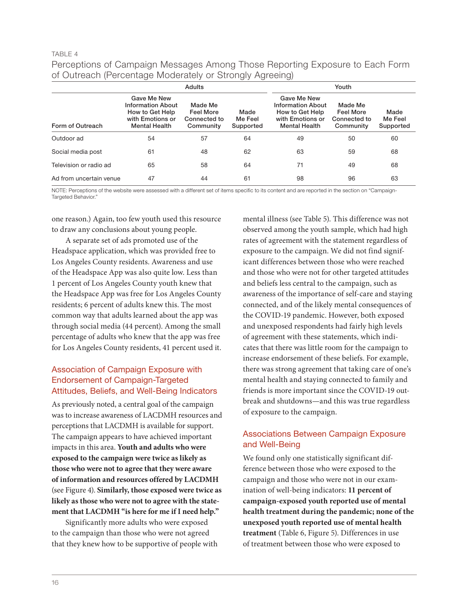#### TABLE 4

Perceptions of Campaign Messages Among Those Reporting Exposure to Each Form of Outreach (Percentage Moderately or Strongly Agreeing)

|                         |                                                                                                               |                                                          |                              | $\sim$                                                                                                        |                                                          |                              |
|-------------------------|---------------------------------------------------------------------------------------------------------------|----------------------------------------------------------|------------------------------|---------------------------------------------------------------------------------------------------------------|----------------------------------------------------------|------------------------------|
|                         |                                                                                                               | Youth                                                    |                              |                                                                                                               |                                                          |                              |
| Form of Outreach        | <b>Gave Me New</b><br><b>Information About</b><br>How to Get Help<br>with Emotions or<br><b>Mental Health</b> | Made Me<br><b>Feel More</b><br>Connected to<br>Community | Made<br>Me Feel<br>Supported | <b>Gave Me New</b><br><b>Information About</b><br>How to Get Help<br>with Emotions or<br><b>Mental Health</b> | Made Me<br><b>Feel More</b><br>Connected to<br>Community | Made<br>Me Feel<br>Supported |
| Outdoor ad              | 54                                                                                                            | 57                                                       | 64                           | 49                                                                                                            | 50                                                       | 60                           |
| Social media post       | 61                                                                                                            | 48                                                       | 62                           | 63                                                                                                            | 59                                                       | 68                           |
| Television or radio ad  | 65                                                                                                            | 58                                                       | 64                           | 71                                                                                                            | 49                                                       | 68                           |
| Ad from uncertain venue | 47                                                                                                            | 44                                                       | 61                           | 98                                                                                                            | 96                                                       | 63                           |

NOTE: Perceptions of the website were assessed with a different set of items specific to its content and are reported in the section on "Campaign-Targeted Behavior."

one reason.) Again, too few youth used this resource to draw any conclusions about young people.

A separate set of ads promoted use of the Headspace application, which was provided free to Los Angeles County residents. Awareness and use of the Headspace App was also quite low. Less than 1 percent of Los Angeles County youth knew that the Headspace App was free for Los Angeles County residents; 6 percent of adults knew this. The most common way that adults learned about the app was through social media (44 percent). Among the small percentage of adults who knew that the app was free for Los Angeles County residents, 41 percent used it.

# Association of Campaign Exposure with Endorsement of Campaign-Targeted Attitudes, Beliefs, and Well-Being Indicators

As previously noted, a central goal of the campaign was to increase awareness of LACDMH resources and perceptions that LACDMH is available for support. The campaign appears to have achieved important impacts in this area. **Youth and adults who were exposed to the campaign were twice as likely as those who were not to agree that they were aware of information and resources offered by LACDMH**  (see Figure 4). **Similarly, those exposed were twice as likely as those who were not to agree with the statement that LACDMH "is here for me if I need help."**

Significantly more adults who were exposed to the campaign than those who were not agreed that they knew how to be supportive of people with

mental illness (see Table 5). This difference was not observed among the youth sample, which had high rates of agreement with the statement regardless of exposure to the campaign. We did not find significant differences between those who were reached and those who were not for other targeted attitudes and beliefs less central to the campaign, such as awareness of the importance of self-care and staying connected, and of the likely mental consequences of the COVID-19 pandemic. However, both exposed and unexposed respondents had fairly high levels of agreement with these statements, which indicates that there was little room for the campaign to increase endorsement of these beliefs. For example, there was strong agreement that taking care of one's mental health and staying connected to family and friends is more important since the COVID-19 outbreak and shutdowns—and this was true regardless of exposure to the campaign.

# Associations Between Campaign Exposure and Well-Being

We found only one statistically significant difference between those who were exposed to the campaign and those who were not in our examination of well-being indicators: **11 percent of campaign-exposed youth reported use of mental health treatment during the pandemic; none of the unexposed youth reported use of mental health treatment** (Table 6, Figure 5). Differences in use of treatment between those who were exposed to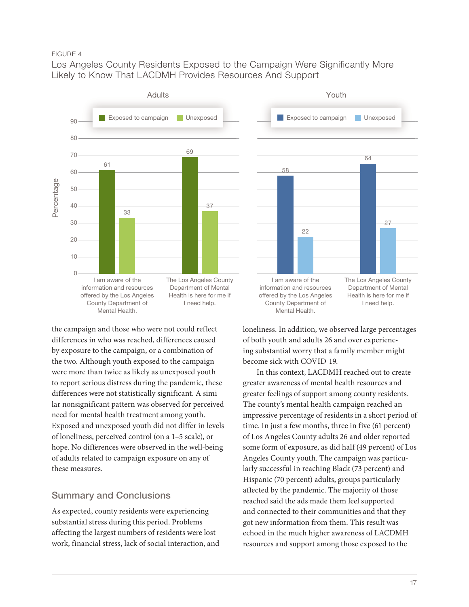#### FIGURE 4

Los Angeles County Residents Exposed to the Campaign Were Significantly More Likely to Know That LACDMH Provides Resources And Support



the campaign and those who were not could reflect differences in who was reached, differences caused by exposure to the campaign, or a combination of the two. Although youth exposed to the campaign were more than twice as likely as unexposed youth to report serious distress during the pandemic, these differences were not statistically significant. A similar nonsignificant pattern was observed for perceived need for mental health treatment among youth. Exposed and unexposed youth did not differ in levels of loneliness, perceived control (on a 1–5 scale), or hope. No differences were observed in the well-being of adults related to campaign exposure on any of these measures.

# Summary and Conclusions

As expected, county residents were experiencing substantial stress during this period. Problems affecting the largest numbers of residents were lost work, financial stress, lack of social interaction, and



loneliness. In addition, we observed large percentages of both youth and adults 26 and over experiencing substantial worry that a family member might become sick with COVID-19.

In this context, LACDMH reached out to create greater awareness of mental health resources and greater feelings of support among county residents. The county's mental health campaign reached an impressive percentage of residents in a short period of time. In just a few months, three in five (61 percent) of Los Angeles County adults 26 and older reported some form of exposure, as did half (49 percent) of Los Angeles County youth. The campaign was particularly successful in reaching Black (73 percent) and Hispanic (70 percent) adults, groups particularly affected by the pandemic. The majority of those reached said the ads made them feel supported and connected to their communities and that they got new information from them. This result was echoed in the much higher awareness of LACDMH resources and support among those exposed to the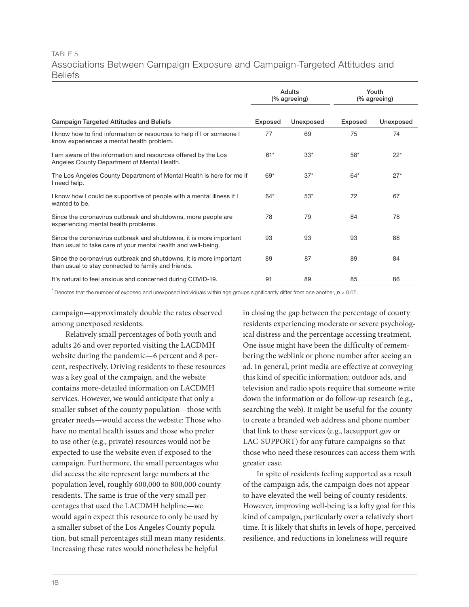# TABLE 5 Associations Between Campaign Exposure and Campaign-Targeted Attitudes and Beliefs

|                                                                                                                                     |                | Adults<br>(% agreeing) | Youth<br>(% agreeing) |           |
|-------------------------------------------------------------------------------------------------------------------------------------|----------------|------------------------|-----------------------|-----------|
| <b>Campaign Targeted Attitudes and Beliefs</b>                                                                                      | <b>Exposed</b> | Unexposed              | Exposed               | Unexposed |
| I know how to find information or resources to help if I or someone I<br>know experiences a mental health problem.                  | 77             | 69                     | 75                    | 74        |
| I am aware of the information and resources offered by the Los<br>Angeles County Department of Mental Health.                       | $61*$          | $33*$                  | $58*$                 | $22*$     |
| The Los Angeles County Department of Mental Health is here for me if<br>I need help.                                                | $69*$          | $37*$                  | $64*$                 | $27*$     |
| I know how I could be supportive of people with a mental illness if I<br>wanted to be.                                              | $64*$          | $53*$                  | 72                    | 67        |
| Since the coronavirus outbreak and shutdowns, more people are<br>experiencing mental health problems.                               | 78             | 79                     | 84                    | 78        |
| Since the coronavirus outbreak and shutdowns, it is more important<br>than usual to take care of your mental health and well-being. | 93             | 93                     | 93                    | 88        |
| Since the coronavirus outbreak and shutdowns, it is more important<br>than usual to stay connected to family and friends.           | 89             | 87                     | 89                    | 84        |
| It's natural to feel anxious and concerned during COVID-19.                                                                         | 91             | 89                     | 85                    | 86        |

\* Denotes that the number of exposed and unexposed individuals within age groups significantly differ from one another, *p* > 0.05.

campaign—approximately double the rates observed among unexposed residents.

Relatively small percentages of both youth and adults 26 and over reported visiting the LACDMH website during the pandemic—6 percent and 8 percent, respectively. Driving residents to these resources was a key goal of the campaign, and the website contains more-detailed information on LACDMH services. However, we would anticipate that only a smaller subset of the county population—those with greater needs—would access the website: Those who have no mental health issues and those who prefer to use other (e.g., private) resources would not be expected to use the website even if exposed to the campaign. Furthermore, the small percentages who did access the site represent large numbers at the population level, roughly 600,000 to 800,000 county residents. The same is true of the very small percentages that used the LACDMH helpline—we would again expect this resource to only be used by a smaller subset of the Los Angeles County population, but small percentages still mean many residents. Increasing these rates would nonetheless be helpful

in closing the gap between the percentage of county residents experiencing moderate or severe psychological distress and the percentage accessing treatment. One issue might have been the difficulty of remembering the weblink or phone number after seeing an ad. In general, print media are effective at conveying this kind of specific information; outdoor ads, and television and radio spots require that someone write down the information or do follow-up research (e.g., searching the web). It might be useful for the county to create a branded web address and phone number that link to these services (e.g., lacsupport.gov or LAC-SUPPORT) for any future campaigns so that those who need these resources can access them with greater ease.

In spite of residents feeling supported as a result of the campaign ads, the campaign does not appear to have elevated the well-being of county residents. However, improving well-being is a lofty goal for this kind of campaign, particularly over a relatively short time. It is likely that shifts in levels of hope, perceived resilience, and reductions in loneliness will require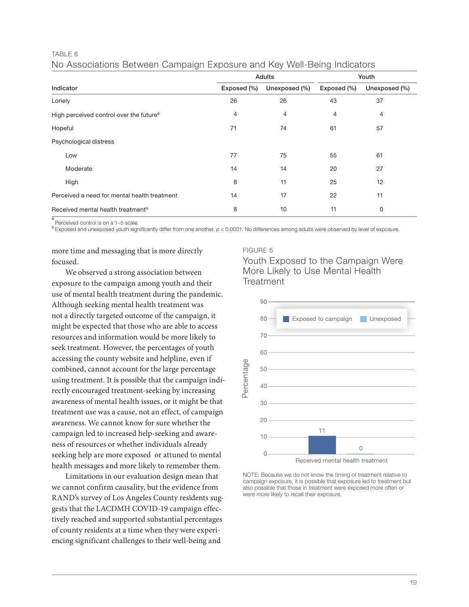#### TABLE 6

|  | No Associations Between Campaign Exposure and Key Well-Being Indicators |  |
|--|-------------------------------------------------------------------------|--|
|--|-------------------------------------------------------------------------|--|

|                                                     |             | Adults         | Youth       |               |
|-----------------------------------------------------|-------------|----------------|-------------|---------------|
| Indicator                                           | Exposed (%) | Unexposed (%)  | Exposed (%) | Unexposed (%) |
| Lonely                                              | 26          | 26             | 43          | 37            |
| High perceived control over the future <sup>a</sup> | 4           | $\overline{4}$ | 4           | 4             |
| Hopeful                                             | 71          | 74             | 61          | 57            |
| Psychological distress                              |             |                |             |               |
| Low                                                 | 77          | 75             | 55          | 61            |
| Moderate                                            | 14          | 14             | 20          | 27            |
| High                                                | 8           | 11             | 25          | 12            |
| Perceived a need for mental health treatment        | 14          | 17             | 22          | 11            |
| Received mental health treatment <sup>b</sup>       | 8           | 10             | 11          | 0             |

a Perceived control is on a 1–5 scale.

<sup>b</sup>Exposed and unexposed youth significantly differ from one another, *p* < 0.0001. No differences among adults were observed by level of exposure.

more time and messaging that is more directly focused.

We observed a strong association between exposure to the campaign among youth and their use of mental health treatment during the pandemic. Although seeking mental health treatment was not a directly targeted outcome of the campaign, it might be expected that those who are able to access resources and information would be more likely to seek treatment. However, the percentages of youth accessing the county website and helpline, even if combined, cannot account for the large percentage using treatment. It is possible that the campaign indirectly encouraged treatment-seeking by increasing awareness of mental health issues, or it might be that treatment use was a cause, not an effect, of campaign awareness. We cannot know for sure whether the campaign led to increased help-seeking and awareness of resources or whether individuals already seeking help are more exposed or attuned to mental health messages and more likely to remember them.

Limitations in our evaluation design mean that we cannot confirm causality, but the evidence from RAND's survey of Los Angeles County residents suggests that the LACDMH COVID-19 campaign effectively reached and supported substantial percentages of county residents at a time when they were experiencing significant challenges to their well-being and

#### FIGURE 5





NOTE: Because we do not know the timing of treatment relative to campaign exposure, it is possible that exposure led to treatment but also possible that those in treatment were exposed more often or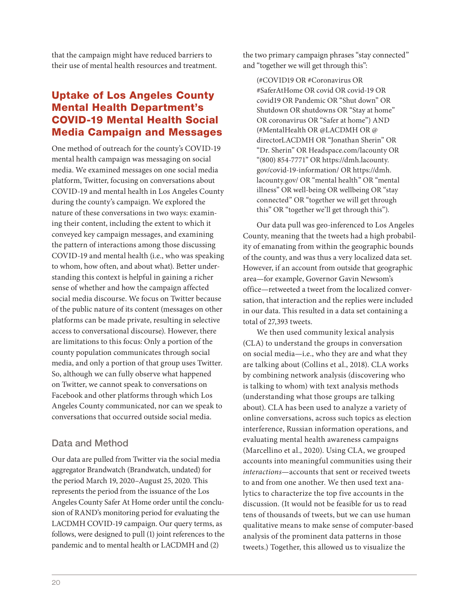that the campaign might have reduced barriers to their use of mental health resources and treatment.

# Uptake of Los Angeles County Mental Health Department's COVID-19 Mental Health Social Media Campaign and Messages

One method of outreach for the county's COVID-19 mental health campaign was messaging on social media. We examined messages on one social media platform, Twitter, focusing on conversations about COVID-19 and mental health in Los Angeles County during the county's campaign. We explored the nature of these conversations in two ways: examining their content, including the extent to which it conveyed key campaign messages, and examining the pattern of interactions among those discussing COVID-19 and mental health (i.e., who was speaking to whom, how often, and about what). Better understanding this context is helpful in gaining a richer sense of whether and how the campaign affected social media discourse. We focus on Twitter because of the public nature of its content (messages on other platforms can be made private, resulting in selective access to conversational discourse). However, there are limitations to this focus: Only a portion of the county population communicates through social media, and only a portion of that group uses Twitter. So, although we can fully observe what happened on Twitter, we cannot speak to conversations on Facebook and other platforms through which Los Angeles County communicated, nor can we speak to conversations that occurred outside social media.

# Data and Method

Our data are pulled from Twitter via the social media aggregator Brandwatch (Brandwatch, undated) for the period March 19, 2020–August 25, 2020. This represents the period from the issuance of the Los Angeles County Safer At Home order until the conclusion of RAND's monitoring period for evaluating the LACDMH COVID-19 campaign. Our query terms, as follows, were designed to pull (1) joint references to the pandemic and to mental health or LACDMH and (2)

the two primary campaign phrases "stay connected" and "together we will get through this":

(#COVID19 OR #Coronavirus OR #SaferAtHome OR covid OR covid-19 OR covid19 OR Pandemic OR "Shut down" OR Shutdown OR shutdowns OR "Stay at home" OR coronavirus OR "Safer at home") AND (#MentalHealth OR @LACDMH OR @ directorLACDMH OR "Jonathan Sherin" OR "Dr. Sherin" OR Headspace.com/lacounty OR "(800) 854-7771" OR [https://dmh.lacounty.](https://dmh.lacounty.gov/covid-19-information/) [gov/covid-19-information/](https://dmh.lacounty.gov/covid-19-information/) OR [https://dmh.](https://dmh.lacounty.gov/) [lacounty.gov/](https://dmh.lacounty.gov/) OR "mental health" OR "mental illness" OR well-being OR wellbeing OR "stay connected" OR "together we will get through this" OR "together we'll get through this").

Our data pull was geo-inferenced to Los Angeles County, meaning that the tweets had a high probability of emanating from within the geographic bounds of the county, and was thus a very localized data set. However, if an account from outside that geographic area—for example, Governor Gavin Newsom's office—retweeted a tweet from the localized conversation, that interaction and the replies were included in our data. This resulted in a data set containing a total of 27,393 tweets.

We then used community lexical analysis (CLA) to understand the groups in conversation on social media—i.e., who they are and what they are talking about (Collins et al., 2018). CLA works by combining network analysis (discovering who is talking to whom) with text analysis methods (understanding what those groups are talking about). CLA has been used to analyze a variety of online conversations, across such topics as election interference, Russian information operations, and evaluating mental health awareness campaigns (Marcellino et al., 2020). Using CLA, we grouped accounts into meaningful communities using their *interactions*—accounts that sent or received tweets to and from one another. We then used text analytics to characterize the top five accounts in the discussion. (It would not be feasible for us to read tens of thousands of tweets, but we can use human qualitative means to make sense of computer-based analysis of the prominent data patterns in those tweets.) Together, this allowed us to visualize the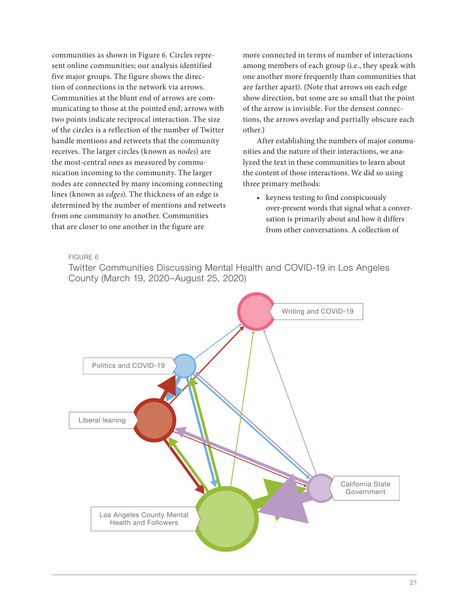communities as shown in Figure 6. Circles represent online communities; our analysis identified five major groups. The figure shows the direction of connections in the network via arrows. Communities at the blunt end of arrows are communicating to those at the pointed end; arrows with two points indicate reciprocal interaction. The size of the circles is a reflection of the number of Twitter handle mentions and retweets that the community receives. The larger circles (known as *nodes*) are the most-central ones as measured by communication incoming to the community. The larger nodes are connected by many incoming connecting lines (known as *edges*). The thickness of an edge is determined by the number of mentions and retweets from one community to another. Communities that are closer to one another in the figure are

more connected in terms of number of interactions among members of each group (i.e., they speak with one another more frequently than communities that are farther apart). (Note that arrows on each edge show direction, but some are so small that the point of the arrow is invisible. For the densest connections, the arrows overlap and partially obscure each other.)

After establishing the numbers of major communities and the nature of their interactions, we analyzed the text in these communities to learn about the content of those interactions. We did so using three primary methods:

• keyness testing to find conspicuously over-present words that signal what a conversation is primarily about and how it differs from other conversations. A collection of

FIGURE 6

Twitter Communities Discussing Mental Health and COVID-19 in Los Angeles County (March 19, 2020–August 25, 2020)

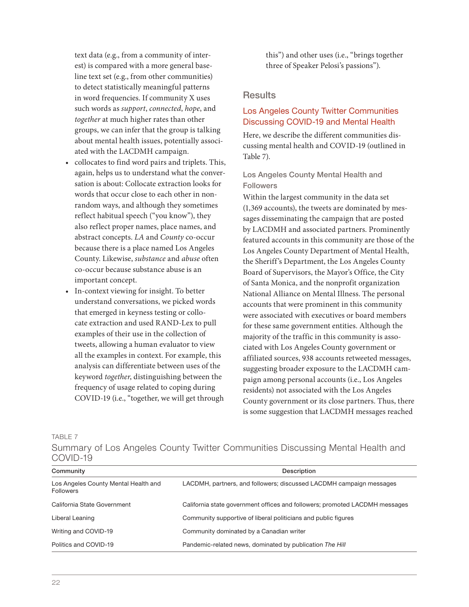text data (e.g., from a community of interest) is compared with a more general baseline text set (e.g., from other communities) to detect statistically meaningful patterns in word frequencies. If community X uses such words as *support*, *connected*, *hope*, and *together* at much higher rates than other groups, we can infer that the group is talking about mental health issues, potentially associated with the LACDMH campaign.

- collocates to find word pairs and triplets. This, again, helps us to understand what the conversation is about: Collocate extraction looks for words that occur close to each other in nonrandom ways, and although they sometimes reflect habitual speech ("you know"), they also reflect proper names, place names, and abstract concepts. *LA* and *County* co-occur because there is a place named Los Angeles County. Likewise, *substance* and *abuse* often co-occur because substance abuse is an important concept.
- In-context viewing for insight. To better understand conversations, we picked words that emerged in keyness testing or collocate extraction and used RAND-Lex to pull examples of their use in the collection of tweets, allowing a human evaluator to view all the examples in context. For example, this analysis can differentiate between uses of the keyword *together*, distinguishing between the frequency of usage related to coping during COVID-19 (i.e., "together, we will get through

this") and other uses (i.e., "brings together three of Speaker Pelosi's passions").

# **Results**

# Los Angeles County Twitter Communities Discussing COVID-19 and Mental Health

Here, we describe the different communities discussing mental health and COVID-19 (outlined in Table 7).

# Los Angeles County Mental Health and Followers

Within the largest community in the data set (1,369 accounts), the tweets are dominated by messages disseminating the campaign that are posted by LACDMH and associated partners. Prominently featured accounts in this community are those of the Los Angeles County Department of Mental Health, the Sheriff's Department, the Los Angeles County Board of Supervisors, the Mayor's Office, the City of Santa Monica, and the nonprofit organization National Alliance on Mental Illness. The personal accounts that were prominent in this community were associated with executives or board members for these same government entities. Although the majority of the traffic in this community is associated with Los Angeles County government or affiliated sources, 938 accounts retweeted messages, suggesting broader exposure to the LACDMH campaign among personal accounts (i.e., Los Angeles residents) not associated with the Los Angeles County government or its close partners. Thus, there is some suggestion that LACDMH messages reached

TABLE 7

Summary of Los Angeles County Twitter Communities Discussing Mental Health and COVID-19

| Community                                                | Description                                                                 |  |  |
|----------------------------------------------------------|-----------------------------------------------------------------------------|--|--|
| Los Angeles County Mental Health and<br><b>Followers</b> | LACDMH, partners, and followers; discussed LACDMH campaign messages         |  |  |
| California State Government                              | California state government offices and followers; promoted LACDMH messages |  |  |
| Liberal Leaning                                          | Community supportive of liberal politicians and public figures              |  |  |
| Writing and COVID-19                                     | Community dominated by a Canadian writer                                    |  |  |
| Politics and COVID-19                                    | Pandemic-related news, dominated by publication The Hill                    |  |  |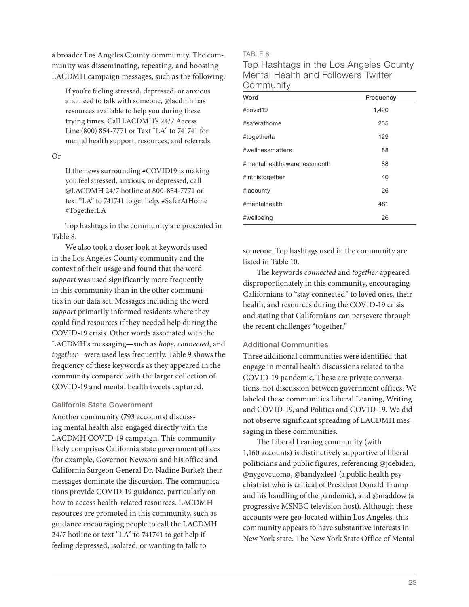a broader Los Angeles County community. The community was disseminating, repeating, and boosting LACDMH campaign messages, such as the following:

If you're feeling stressed, depressed, or anxious and need to talk with someone, @lacdmh has resources available to help you during these trying times. Call LACDMH's 24/7 Access Line (800) 854-7771 or Text "LA" to 741741 for mental health support, resources, and referrals.

Or

If the news surrounding #COVID19 is making you feel stressed, anxious, or depressed, call @LACDMH 24/7 hotline at 800-854-7771 or text "LA" to 741741 to get help. #SaferAtHome #TogetherLA

Top hashtags in the community are presented in Table 8.

We also took a closer look at keywords used in the Los Angeles County community and the context of their usage and found that the word *support* was used significantly more frequently in this community than in the other communities in our data set. Messages including the word *support* primarily informed residents where they could find resources if they needed help during the COVID-19 crisis. Other words associated with the LACDMH's messaging—such as *hope*, *connected*, and *together*—were used less frequently. Table 9 shows the frequency of these keywords as they appeared in the community compared with the larger collection of COVID-19 and mental health tweets captured.

#### California State Government

Another community (793 accounts) discussing mental health also engaged directly with the LACDMH COVID-19 campaign. This community likely comprises California state government offices (for example, Governor Newsom and his office and California Surgeon General Dr. Nadine Burke); their messages dominate the discussion. The communications provide COVID-19 guidance, particularly on how to access health-related resources. LACDMH resources are promoted in this community, such as guidance encouraging people to call the LACDMH 24/7 hotline or text "LA" to 741741 to get help if feeling depressed, isolated, or wanting to talk to

TABLE 8

Top Hashtags in the Los Angeles County Mental Health and Followers Twitter **Community** 

| Word                        | Frequency |
|-----------------------------|-----------|
| #covid19                    | 1,420     |
| #saferathome                | 255       |
| #togetherla                 | 129       |
| #wellnessmatters            | 88        |
| #mentalhealthawarenessmonth | 88        |
| #inthistogether             | 40        |
| #lacounty                   | 26        |
| #mentalhealth               | 481       |
| #wellbeing                  | 26        |

someone. Top hashtags used in the community are listed in Table 10.

The keywords *connected* and *together* appeared disproportionately in this community, encouraging Californians to "stay connected" to loved ones, their health, and resources during the COVID-19 crisis and stating that Californians can persevere through the recent challenges "together."

#### Additional Communities

Three additional communities were identified that engage in mental health discussions related to the COVID-19 pandemic. These are private conversations, not discussion between government offices. We labeled these communities Liberal Leaning, Writing and COVID-19, and Politics and COVID-19. We did not observe significant spreading of LACDMH messaging in these communities.

The Liberal Leaning community (with 1,160 accounts) is distinctively supportive of liberal politicians and public figures, referencing @joebiden, @nygovcuomo, @bandyxlee1 (a public health psychiatrist who is critical of President Donald Trump and his handling of the pandemic), and @maddow (a progressive MSNBC television host). Although these accounts were geo-located within Los Angeles, this community appears to have substantive interests in New York state. The New York State Office of Mental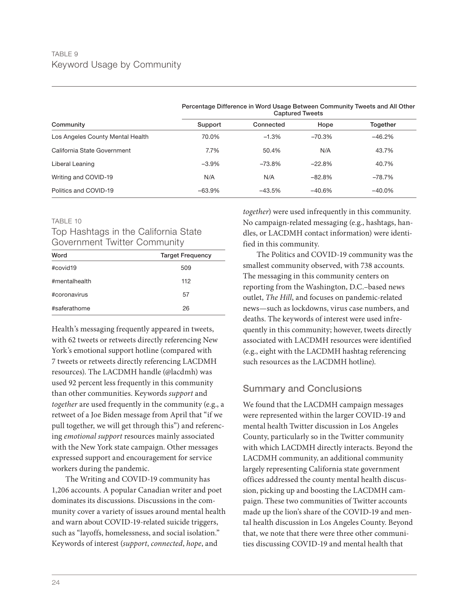| Community                        | <b>Captured Tweets</b> |           |          |           |
|----------------------------------|------------------------|-----------|----------|-----------|
|                                  | Support                | Connected | Hope     | Together  |
| Los Angeles County Mental Health | 70.0%                  | $-1.3%$   | $-70.3%$ | $-46.2%$  |
| California State Government      | $7.7\%$                | 50.4%     | N/A      | 43.7%     |
| Liberal Leaning                  | $-3.9%$                | $-73.8%$  | $-22.8%$ | 40.7%     |
| Writing and COVID-19             | N/A                    | N/A       | $-82.8%$ | $-78.7%$  |
| Politics and COVID-19            | $-63.9%$               | $-43.5%$  | $-40.6%$ | $-40.0\%$ |

Percentage Difference in Word Usage Between Community Tweets and All Other

#### TABLE 10

# Top Hashtags in the California State Government Twitter Community

| Word          | <b>Target Frequency</b> |  |  |
|---------------|-------------------------|--|--|
| #covid19      | 509                     |  |  |
| #mentalhealth | 112                     |  |  |
| #coronavirus  | 57                      |  |  |
| #saferathome  | 26                      |  |  |

Health's messaging frequently appeared in tweets, with 62 tweets or retweets directly referencing New York's emotional support hotline (compared with 7 tweets or retweets directly referencing LACDMH resources). The LACDMH handle (@lacdmh) was used 92 percent less frequently in this community than other communities. Keywords *support* and *together* are used frequently in the community (e.g., a retweet of a Joe Biden message from April that "if we pull together, we will get through this") and referencing *emotional support* resources mainly associated with the New York state campaign. Other messages expressed support and encouragement for service workers during the pandemic.

The Writing and COVID-19 community has 1,206 accounts. A popular Canadian writer and poet dominates its discussions. Discussions in the community cover a variety of issues around mental health and warn about COVID-19-related suicide triggers, such as "layoffs, homelessness, and social isolation." Keywords of interest (*support*, *connected*, *hope*, and

*together*) were used infrequently in this community. No campaign-related messaging (e.g., hashtags, handles, or LACDMH contact information) were identified in this community.

The Politics and COVID-19 community was the smallest community observed, with 738 accounts. The messaging in this community centers on reporting from the Washington, D.C.–based news outlet, *The Hill*, and focuses on pandemic-related news—such as lockdowns, virus case numbers, and deaths. The keywords of interest were used infrequently in this community; however, tweets directly associated with LACDMH resources were identified (e.g., eight with the LACDMH hashtag referencing such resources as the LACDMH hotline).

# Summary and Conclusions

We found that the LACDMH campaign messages were represented within the larger COVID-19 and mental health Twitter discussion in Los Angeles County, particularly so in the Twitter community with which LACDMH directly interacts. Beyond the LACDMH community, an additional community largely representing California state government offices addressed the county mental health discussion, picking up and boosting the LACDMH campaign. These two communities of Twitter accounts made up the lion's share of the COVID-19 and mental health discussion in Los Angeles County. Beyond that, we note that there were three other communities discussing COVID-19 and mental health that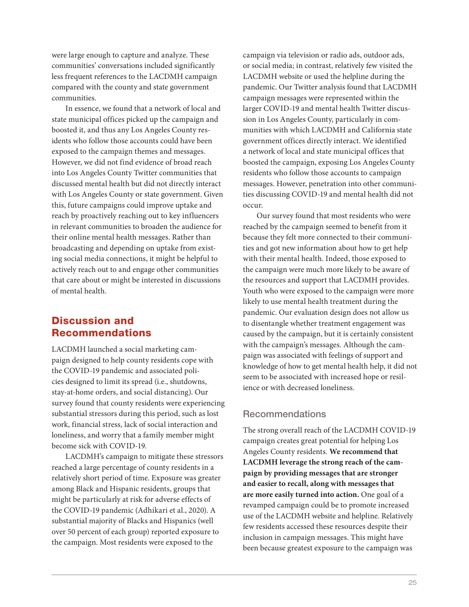were large enough to capture and analyze. These communities' conversations included significantly less frequent references to the LACDMH campaign compared with the county and state government communities.

In essence, we found that a network of local and state municipal offices picked up the campaign and boosted it, and thus any Los Angeles County residents who follow those accounts could have been exposed to the campaign themes and messages. However, we did not find evidence of broad reach into Los Angeles County Twitter communities that discussed mental health but did not directly interact with Los Angeles County or state government. Given this, future campaigns could improve uptake and reach by proactively reaching out to key influencers in relevant communities to broaden the audience for their online mental health messages. Rather than broadcasting and depending on uptake from existing social media connections, it might be helpful to actively reach out to and engage other communities that care about or might be interested in discussions of mental health.

# Discussion and Recommendations

LACDMH launched a social marketing campaign designed to help county residents cope with the COVID-19 pandemic and associated policies designed to limit its spread (i.e., shutdowns, stay-at-home orders, and social distancing). Our survey found that county residents were experiencing substantial stressors during this period, such as lost work, financial stress, lack of social interaction and loneliness, and worry that a family member might become sick with COVID-19.

LACDMH's campaign to mitigate these stressors reached a large percentage of county residents in a relatively short period of time. Exposure was greater among Black and Hispanic residents, groups that might be particularly at risk for adverse effects of the COVID-19 pandemic (Adhikari et al., 2020). A substantial majority of Blacks and Hispanics (well over 50 percent of each group) reported exposure to the campaign. Most residents were exposed to the

campaign via television or radio ads, outdoor ads, or social media; in contrast, relatively few visited the LACDMH website or used the helpline during the pandemic. Our Twitter analysis found that LACDMH campaign messages were represented within the larger COVID-19 and mental health Twitter discussion in Los Angeles County, particularly in communities with which LACDMH and California state government offices directly interact. We identified a network of local and state municipal offices that boosted the campaign, exposing Los Angeles County residents who follow those accounts to campaign messages. However, penetration into other communities discussing COVID-19 and mental health did not occur.

Our survey found that most residents who were reached by the campaign seemed to benefit from it because they felt more connected to their communities and got new information about how to get help with their mental health. Indeed, those exposed to the campaign were much more likely to be aware of the resources and support that LACDMH provides. Youth who were exposed to the campaign were more likely to use mental health treatment during the pandemic. Our evaluation design does not allow us to disentangle whether treatment engagement was caused by the campaign, but it is certainly consistent with the campaign's messages. Although the campaign was associated with feelings of support and knowledge of how to get mental health help, it did not seem to be associated with increased hope or resilience or with decreased loneliness.

# Recommendations

The strong overall reach of the LACDMH COVID-19 campaign creates great potential for helping Los Angeles County residents*.* **We recommend that LACDMH leverage the strong reach of the campaign by providing messages that are stronger and easier to recall, along with messages that are more easily turned into action.** One goal of a revamped campaign could be to promote increased use of the LACDMH website and helpline. Relatively few residents accessed these resources despite their inclusion in campaign messages. This might have been because greatest exposure to the campaign was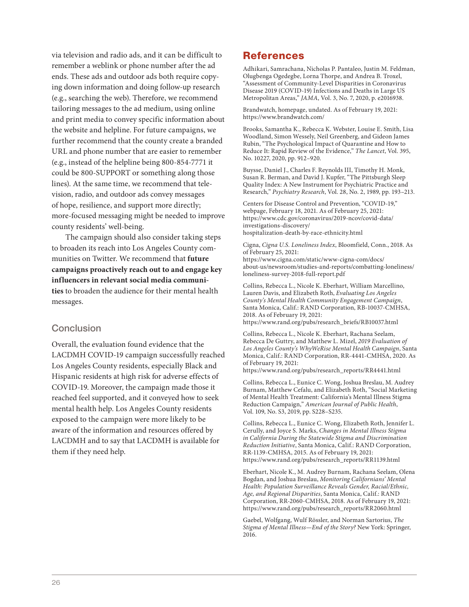via television and radio ads, and it can be difficult to remember a weblink or phone number after the ad ends. These ads and outdoor ads both require copying down information and doing follow-up research (e.g., searching the web). Therefore, we recommend tailoring messages to the ad medium, using online and print media to convey specific information about the website and helpline. For future campaigns, we further recommend that the county create a branded URL and phone number that are easier to remember (e.g., instead of the helpline being 800-854-7771 it could be 800-SUPPORT or something along those lines). At the same time, we recommend that television, radio, and outdoor ads convey messages of hope, resilience, and support more directly; more-focused messaging might be needed to improve county residents' well-being.

The campaign should also consider taking steps to broaden its reach into Los Angeles County communities on Twitter. We recommend that **future campaigns proactively reach out to and engage key influencers in relevant social media communities** to broaden the audience for their mental health messages.

# **Conclusion**

Overall, the evaluation found evidence that the LACDMH COVID-19 campaign successfully reached Los Angeles County residents, especially Black and Hispanic residents at high risk for adverse effects of COVID-19. Moreover, the campaign made those it reached feel supported, and it conveyed how to seek mental health help. Los Angeles County residents exposed to the campaign were more likely to be aware of the information and resources offered by LACDMH and to say that LACDMH is available for them if they need help.

# References

Adhikari, Samrachana, Nicholas P. Pantaleo, Justin M. Feldman, Olugbenga Ogedegbe, Lorna Thorpe, and Andrea B. Troxel, "Assessment of Community-Level Disparities in Coronavirus Disease 2019 (COVID-19) Infections and Deaths in Large US Metropolitan Areas," *JAMA*, Vol. 3, No. 7, 2020, p. e2016938.

Brandwatch, homepage, undated. As of February 19, 2021: <https://www.brandwatch.com/>

Brooks, Samantha K., Rebecca K. Webster, Louise E. Smith, Lisa Woodland, Simon Wessely, Neil Greenberg, and Gideon James Rubin, "The Psychological Impact of Quarantine and How to Reduce It: Rapid Review of the Evidence," *The Lancet*, Vol. 395, No. 10227, 2020, pp. 912–920.

Buysse, Daniel J., Charles F. Reynolds III, Timothy H. Monk, Susan R. Berman, and David J. Kupfer, "The Pittsburgh Sleep Quality Index: A New Instrument for Psychiatric Practice and Research," *Psychiatry Research*, Vol. 28, No. 2, 1989, pp. 193–213.

Centers for Disease Control and Prevention, "COVID-19," webpage, February 18, 2021. As of February 25, 2021: [https://www.cdc.gov/coronavirus/2019-ncov/covid-data/](https://www.cdc.gov/coronavirus/2019-ncov/covid-data/investigations-discovery/hospitalization-death-by-race-ethnicity.html) investigations-discovery/ hospitalization-death-by-race-ethnicity.html

Cigna, *Cigna U.S. Loneliness Index*, Bloomfield, Conn., 2018. As of February 25, 2021: https://www.cigna.com/static/www-cigna-com/docs/

[about-us/newsroom/studies-and-reports/combatting-loneliness/](https://www.cigna.com/static/www-cigna-com/docs/about-us/newsroom/studies-and-reports/combatting-loneliness/loneliness-survey-2018-full-report.pdf) loneliness-survey-2018-full-report.pdf

Collins, Rebecca L., Nicole K. Eberhart, William Marcellino, Lauren Davis, and Elizabeth Roth, *Evaluating Los Angeles County's Mental Health Community Engagement Campaign*, Santa Monica, Calif.: RAND Corporation, RB-10037-CMHSA, 2018. As of February 19, 2021: [https://www.rand.org/pubs/research\\_briefs/RB10037.html](https://www.rand.org/pubs/research_briefs/RB10037.html)

Collins, Rebecca L., Nicole K. Eberhart, Rachana Seelam, Rebecca De Guttry, and Matthew L. Mizel, *2019 Evaluation of Los Angeles County's WhyWeRise Mental Health Campaign*, Santa Monica, Calif.: RAND Corporation, RR-4441-CMHSA, 2020. As of February 19, 2021: [https://www.rand.org/pubs/research\\_reports/RR4441.html](https://www.rand.org/pubs/research_reports/RR4441.html)

Collins, Rebecca L., Eunice C. Wong, Joshua Breslau, M. Audrey

Burnam, Matthew Cefalu, and Elizabeth Roth, "Social Marketing of Mental Health Treatment: California's Mental Illness Stigma Reduction Campaign," *American Journal of Public Health*, Vol. 109, No. S3, 2019, pp. S228–S235.

Collins, Rebecca L., Eunice C. Wong, Elizabeth Roth, Jennifer L. Cerully, and Joyce S. Marks, *Changes in Mental Illness Stigma in California During the Statewide Stigma and Discrimination Reduction Initiative*, Santa Monica, Calif.: RAND Corporation, RR-1139-CMHSA, 2015. As of February 19, 2021: [https://www.rand.org/pubs/research\\_reports/RR1139.html](https://www.rand.org/pubs/research_reports/RR1139.html)

Eberhart, Nicole K., M. Audrey Burnam, Rachana Seelam, Olena Bogdan, and Joshua Breslau, *Monitoring Californians' Mental Health: Population Surveillance Reveals Gender, Racial/Ethnic, Age, and Regional Disparities*, Santa Monica, Calif.: RAND Corporation, RR-2060-CMHSA, 2018. As of February 19, 2021: [https://www.rand.org/pubs/research\\_reports/RR2060.html](https://www.rand.org/pubs/research_reports/RR2060.html)

Gaebel, Wolfgang, Wulf Rössler, and Norman Sartorius, *The Stigma of Mental Illness—End of the Story?* New York: Springer, 2016.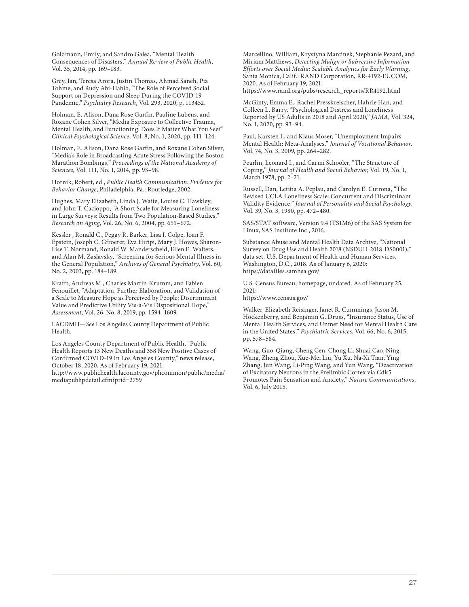Goldmann, Emily, and Sandro Galea, "Mental Health Consequences of Disasters," *Annual Review of Public Health*, Vol. 35, 2014, pp. 169–183.

Grey, Ian, Teresa Arora, Justin Thomas, Ahmad Saneh, Pia Tohme, and Rudy Abi-Habib, "The Role of Perceived Social Support on Depression and Sleep During the COVID-19 Pandemic," *Psychiatry Research*, Vol. 293, 2020, p. 113452.

Holman, E. Alison, Dana Rose Garfin, Pauline Lubens, and Roxane Cohen Silver, "Media Exposure to Collective Trauma, Mental Health, and Functioning: Does It Matter What You See?" *Clinical Psychological Science*, Vol. 8, No. 1, 2020, pp. 111–124.

Holman, E. Alison, Dana Rose Garfin, and Roxane Cohen Silver, "Media's Role in Broadcasting Acute Stress Following the Boston Marathon Bombings," *Proceedings of the National Academy of Sciences*, Vol. 111, No. 1, 2014, pp. 93–98.

Hornik, Robert, ed., *Public Health Communication: Evidence for Behavior Change*, Philadelphia, Pa.: Routledge, 2002.

Hughes, Mary Elizabeth, Linda J. Waite, Louise C. Hawkley, and John T. Cacioppo, "A Short Scale for Measuring Loneliness in Large Surveys: Results from Two Population-Based Studies," *Research on Aging*, Vol. 26, No. 6, 2004, pp. 655–672.

Kessler , Ronald C., Peggy R. Barker, Lisa J. Colpe, Joan F. Epstein, Joseph C. Gfroerer, Eva Hiripi, Mary J. Howes, Sharon-Lise T. Normand, Ronald W. Manderscheid, Ellen E. Walters, and Alan M. Zaslavsky, "Screening for Serious Mental Illness in the General Population," *Archives of General Psychiatry*, Vol. 60, No. 2, 2003, pp. 184–189.

Krafft, Andreas M., Charles Martin-Krumm, and Fabien Fenouillet, "Adaptation, Further Elaboration, and Validation of a Scale to Measure Hope as Perceived by People: Discriminant Value and Predictive Utility Vis-à-Vis Dispositional Hope," *Assessment*, Vol. 26, No. 8, 2019, pp. 1594–1609.

LACDMH—*See* Los Angeles County Department of Public Health.

Los Angeles County Department of Public Health, "Public Health Reports 13 New Deaths and 358 New Positive Cases of Confirmed COVID-19 In Los Angeles County," news release, October 18, 2020. As of February 19, 2021:

[http://www.publichealth.lacounty.gov/phcommon/public/media/](http://www.publichealth.lacounty.gov/phcommon/public/media/mediapubhpdetail.cfm?prid=2759) mediapubhpdetail.cfm?prid=2759

Marcellino, William, Krystyna Marcinek, Stephanie Pezard, and Miriam Matthews, *Detecting Malign or Subversive Information Efforts over Social Media: Scalable Analytics for Early Warning*, Santa Monica, Calif.: RAND Corporation, RR-4192-EUCOM, 2020. As of February 19, 2021: [https://www.rand.org/pubs/research\\_reports/RR4192.html](https://www.rand.org/pubs/research_reports/RR4192.html)

McGinty, Emma E., Rachel Presskreischer, Hahrie Han, and Colleen L. Barry, "Psychological Distress and Loneliness Reported by US Adults in 2018 and April 2020," *JAMA*, Vol. 324, No. 1, 2020, pp. 93–94.

Paul, Karsten I., and Klaus Moser, "Unemployment Impairs Mental Health: Meta-Analyses," *Journal of Vocational Behavior*, Vol. 74, No. 3, 2009, pp. 264–282.

Pearlin, Leonard I., and Carmi Schooler, "The Structure of Coping," *Journal of Health and Social Behavior*, Vol. 19, No. 1, March 1978, pp. 2–21.

Russell, Dan, Letitia A. Peplau, and Carolyn E. Cutrona, "The Revised UCLA Loneliness Scale: Concurrent and Discriminant Validity Evidence," *Journal of Personality and Social Psychology*, Vol. 39, No. 3, 1980, pp. 472–480.

SAS/STAT software, Version 9.4 (TS1M6) of the SAS System for Linux, SAS Institute Inc., 2016.

Substance Abuse and Mental Health Data Archive, "National Survey on Drug Use and Health 2018 (NSDUH-2018-DS0001)," data set, U.S. Department of Health and Human Services, Washington, D.C., 2018. As of January 6, 2020: <https://datafiles.samhsa.gov/>

U.S. Census Bureau, homepage, undated. As of February 25, 2021:

<https://www.census.gov/>

Walker, Elizabeth Reisinger, Janet R. Cummings, Jason M. Hockenberry, and Benjamin G. Druss, "Insurance Status, Use of Mental Health Services, and Unmet Need for Mental Health Care in the United States," *Psychiatric Services*, Vol. 66, No. 6, 2015, pp. 578–584.

Wang, Guo-Qiang, Cheng Cen, Chong Li, Shuai Cao, Ning Wang, Zheng Zhou, Xue-Mei Liu, Yu Xu, Na-Xi Tian, Ying Zhang, Jun Wang, Li-Ping Wang, and Yun Wang, "Deactivation of Excitatory Neurons in the Prelimbic Cortex via Cdk5 Promotes Pain Sensation and Anxiety," *Nature Communications*, Vol. 6, July 2015.